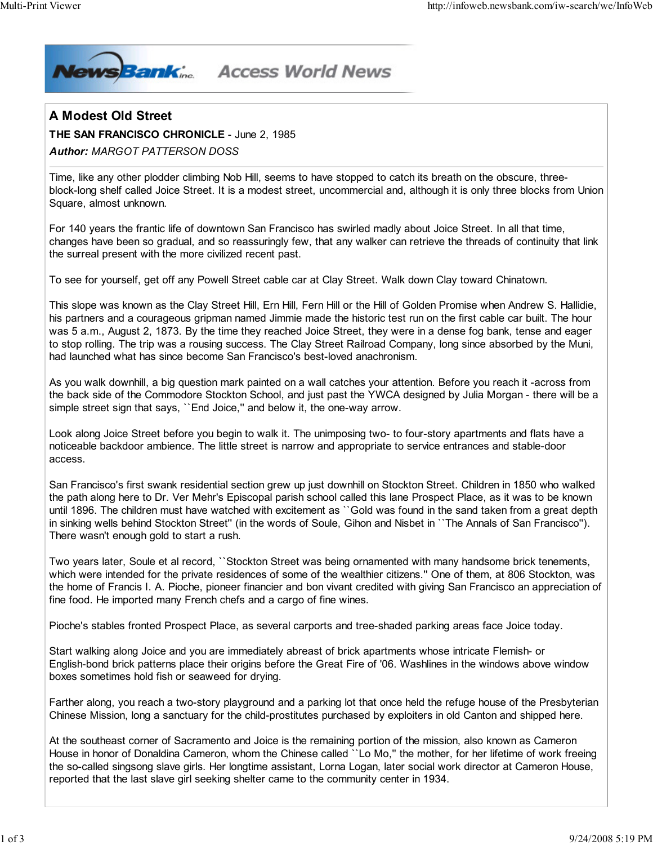

## **Access World News**

## A Modest Old Street

THE SAN FRANCISCO CHRONICLE - June 2, 1985

## Author: MARGOT PATTERSON DOSS

Time, like any other plodder climbing Nob Hill, seems to have stopped to catch its breath on the obscure, threeblock-long shelf called Joice Street. It is a modest street, uncommercial and, although it is only three blocks from Union Square, almost unknown.

For 140 years the frantic life of downtown San Francisco has swirled madly about Joice Street. In all that time, changes have been so gradual, and so reassuringly few, that any walker can retrieve the threads of continuity that link the surreal present with the more civilized recent past.

To see for yourself, get off any Powell Street cable car at Clay Street. Walk down Clay toward Chinatown.

This slope was known as the Clay Street Hill, Ern Hill, Fern Hill or the Hill of Golden Promise when Andrew S. Hallidie, his partners and a courageous gripman named Jimmie made the historic test run on the first cable car built. The hour was 5 a.m., August 2, 1873. By the time they reached Joice Street, they were in a dense fog bank, tense and eager to stop rolling. The trip was a rousing success. The Clay Street Railroad Company, long since absorbed by the Muni, had launched what has since become San Francisco's best-loved anachronism.

As you walk downhill, a big question mark painted on a wall catches your attention. Before you reach it -across from the back side of the Commodore Stockton School, and just past the YWCA designed by Julia Morgan - there will be a simple street sign that says, "End Joice," and below it, the one-way arrow.

Look along Joice Street before you begin to walk it. The unimposing two- to four-story apartments and flats have a noticeable backdoor ambience. The little street is narrow and appropriate to service entrances and stable-door access.

San Francisco's first swank residential section grew up just downhill on Stockton Street. Children in 1850 who walked the path along here to Dr. Ver Mehr's Episcopal parish school called this lane Prospect Place, as it was to be known until 1896. The children must have watched with excitement as ``Gold was found in the sand taken from a great depth in sinking wells behind Stockton Street'' (in the words of Soule, Gihon and Nisbet in ``The Annals of San Francisco''). There wasn't enough gold to start a rush.

Two years later, Soule et al record, ``Stockton Street was being ornamented with many handsome brick tenements, which were intended for the private residences of some of the wealthier citizens.'' One of them, at 806 Stockton, was the home of Francis I. A. Pioche, pioneer financier and bon vivant credited with giving San Francisco an appreciation of fine food. He imported many French chefs and a cargo of fine wines.

Pioche's stables fronted Prospect Place, as several carports and tree-shaded parking areas face Joice today.

Start walking along Joice and you are immediately abreast of brick apartments whose intricate Flemish- or English-bond brick patterns place their origins before the Great Fire of '06. Washlines in the windows above window boxes sometimes hold fish or seaweed for drying.

Farther along, you reach a two-story playground and a parking lot that once held the refuge house of the Presbyterian Chinese Mission, long a sanctuary for the child-prostitutes purchased by exploiters in old Canton and shipped here.

At the southeast corner of Sacramento and Joice is the remaining portion of the mission, also known as Cameron House in honor of Donaldina Cameron, whom the Chinese called ``Lo Mo,'' the mother, for her lifetime of work freeing the so-called singsong slave girls. Her longtime assistant, Lorna Logan, later social work director at Cameron House, reported that the last slave girl seeking shelter came to the community center in 1934.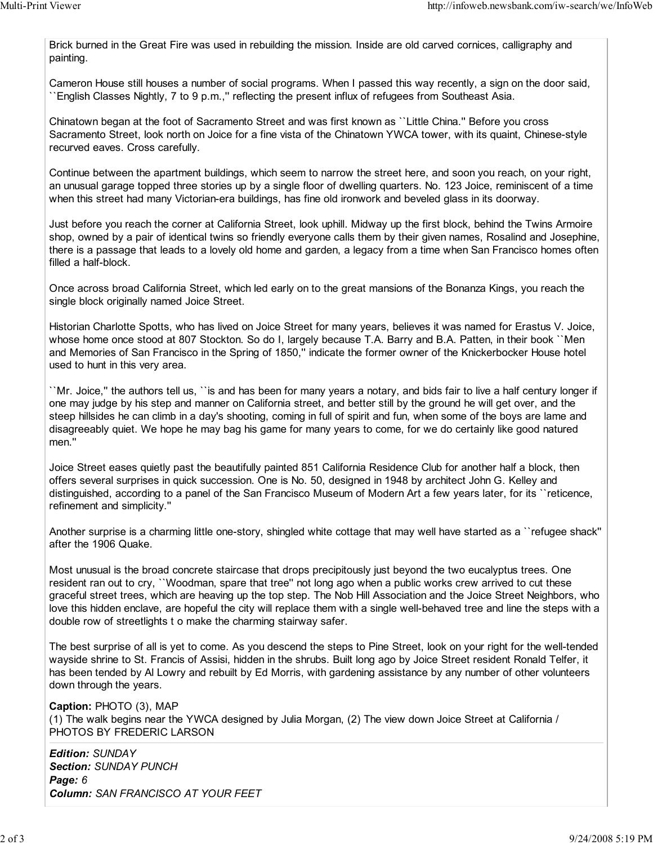Brick burned in the Great Fire was used in rebuilding the mission. Inside are old carved cornices, calligraphy and painting.

Cameron House still houses a number of social programs. When I passed this way recently, a sign on the door said, ``English Classes Nightly, 7 to 9 p.m.,'' reflecting the present influx of refugees from Southeast Asia.

Chinatown began at the foot of Sacramento Street and was first known as ``Little China.'' Before you cross Sacramento Street, look north on Joice for a fine vista of the Chinatown YWCA tower, with its quaint, Chinese-style recurved eaves. Cross carefully.

Continue between the apartment buildings, which seem to narrow the street here, and soon you reach, on your right, an unusual garage topped three stories up by a single floor of dwelling quarters. No. 123 Joice, reminiscent of a time when this street had many Victorian-era buildings, has fine old ironwork and beveled glass in its doorway.

Just before you reach the corner at California Street, look uphill. Midway up the first block, behind the Twins Armoire shop, owned by a pair of identical twins so friendly everyone calls them by their given names, Rosalind and Josephine, there is a passage that leads to a lovely old home and garden, a legacy from a time when San Francisco homes often filled a half-block.

Once across broad California Street, which led early on to the great mansions of the Bonanza Kings, you reach the single block originally named Joice Street.

Historian Charlotte Spotts, who has lived on Joice Street for many years, believes it was named for Erastus V. Joice, whose home once stood at 807 Stockton. So do I, largely because T.A. Barry and B.A. Patten, in their book ``Men and Memories of San Francisco in the Spring of 1850," indicate the former owner of the Knickerbocker House hotel used to hunt in this very area.

``Mr. Joice,'' the authors tell us, ``is and has been for many years a notary, and bids fair to live a half century longer if one may judge by his step and manner on California street, and better still by the ground he will get over, and the steep hillsides he can climb in a day's shooting, coming in full of spirit and fun, when some of the boys are lame and disagreeably quiet. We hope he may bag his game for many years to come, for we do certainly like good natured men.''

Joice Street eases quietly past the beautifully painted 851 California Residence Club for another half a block, then offers several surprises in quick succession. One is No. 50, designed in 1948 by architect John G. Kelley and distinguished, according to a panel of the San Francisco Museum of Modern Art a few years later, for its ``reticence, refinement and simplicity.''

Another surprise is a charming little one-story, shingled white cottage that may well have started as a ``refugee shack'' after the 1906 Quake.

Most unusual is the broad concrete staircase that drops precipitously just beyond the two eucalyptus trees. One resident ran out to cry, ``Woodman, spare that tree'' not long ago when a public works crew arrived to cut these graceful street trees, which are heaving up the top step. The Nob Hill Association and the Joice Street Neighbors, who love this hidden enclave, are hopeful the city will replace them with a single well-behaved tree and line the steps with a double row of streetlights t o make the charming stairway safer.

The best surprise of all is yet to come. As you descend the steps to Pine Street, look on your right for the well-tended wayside shrine to St. Francis of Assisi, hidden in the shrubs. Built long ago by Joice Street resident Ronald Telfer, it has been tended by Al Lowry and rebuilt by Ed Morris, with gardening assistance by any number of other volunteers down through the years.

Caption: PHOTO (3), MAP (1) The walk begins near the YWCA designed by Julia Morgan, (2) The view down Joice Street at California / PHOTOS BY FREDERIC LARSON

Edition: SUNDAY Section: SUNDAY PUNCH Page: 6 Column: SAN FRANCISCO AT YOUR FEET